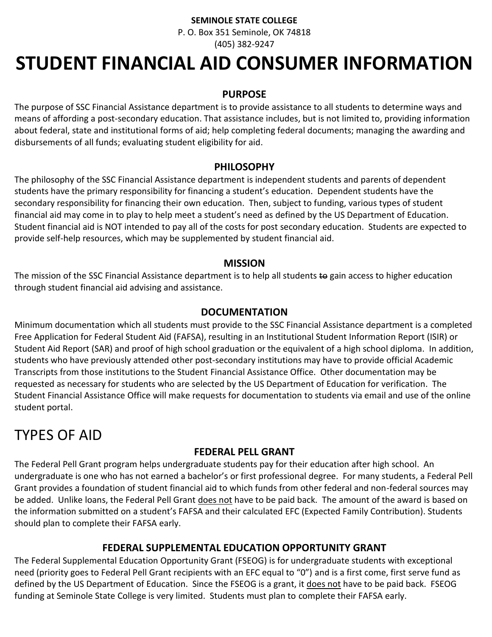#### **SEMINOLE STATE COLLEGE**

P. O. Box 351 Seminole, OK 74818 (405) 382-9247

# **STUDENT FINANCIAL AID CONSUMER INFORMATION**

#### **PURPOSE**

The purpose of SSC Financial Assistance department is to provide assistance to all students to determine ways and means of affording a post-secondary education. That assistance includes, but is not limited to, providing information about federal, state and institutional forms of aid; help completing federal documents; managing the awarding and disbursements of all funds; evaluating student eligibility for aid.

#### **PHILOSOPHY**

The philosophy of the SSC Financial Assistance department is independent students and parents of dependent students have the primary responsibility for financing a student's education. Dependent students have the secondary responsibility for financing their own education. Then, subject to funding, various types of student financial aid may come in to play to help meet a student's need as defined by the US Department of Education. Student financial aid is NOT intended to pay all of the costs for post secondary education. Students are expected to provide self-help resources, which may be supplemented by student financial aid.

#### **MISSION**

The mission of the SSC Financial Assistance department is to help all students to gain access to higher education through student financial aid advising and assistance.

#### **DOCUMENTATION**

Minimum documentation which all students must provide to the SSC Financial Assistance department is a completed Free Application for Federal Student Aid (FAFSA), resulting in an Institutional Student Information Report (ISIR) or Student Aid Report (SAR) and proof of high school graduation or the equivalent of a high school diploma. In addition, students who have previously attended other post-secondary institutions may have to provide official Academic Transcripts from those institutions to the Student Financial Assistance Office. Other documentation may be requested as necessary for students who are selected by the US Department of Education for verification. The Student Financial Assistance Office will make requests for documentation to students via email and use of the online student portal.

# TYPES OF AID

## **FEDERAL PELL GRANT**

The Federal Pell Grant program helps undergraduate students pay for their education after high school. An undergraduate is one who has not earned a bachelor's or first professional degree. For many students, a Federal Pell Grant provides a foundation of student financial aid to which funds from other federal and non-federal sources may be added. Unlike loans, the Federal Pell Grant does not have to be paid back. The amount of the award is based on the information submitted on a student's FAFSA and their calculated EFC (Expected Family Contribution). Students should plan to complete their FAFSA early.

#### **FEDERAL SUPPLEMENTAL EDUCATION OPPORTUNITY GRANT**

The Federal Supplemental Education Opportunity Grant (FSEOG) is for undergraduate students with exceptional need (priority goes to Federal Pell Grant recipients with an EFC equal to "0") and is a first come, first serve fund as defined by the US Department of Education. Since the FSEOG is a grant, it does not have to be paid back. FSEOG funding at Seminole State College is very limited. Students must plan to complete their FAFSA early.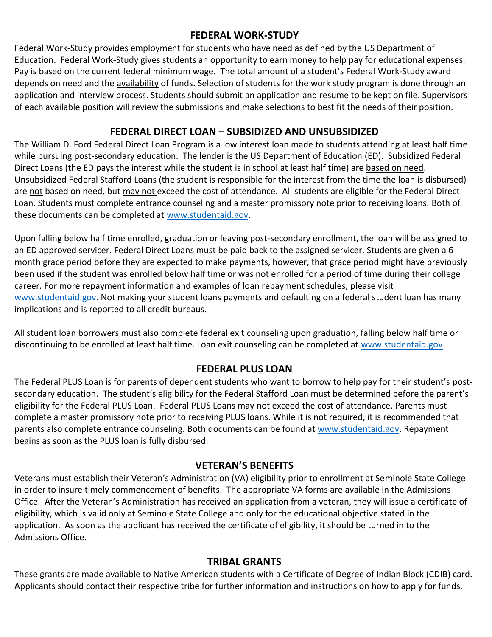### **FEDERAL WORK-STUDY**

Federal Work-Study provides employment for students who have need as defined by the US Department of Education. Federal Work-Study gives students an opportunity to earn money to help pay for educational expenses. Pay is based on the current federal minimum wage. The total amount of a student's Federal Work-Study award depends on need and the availability of funds. Selection of students for the work study program is done through an application and interview process. Students should submit an application and resume to be kept on file. Supervisors of each available position will review the submissions and make selections to best fit the needs of their position.

## **FEDERAL DIRECT LOAN – SUBSIDIZED AND UNSUBSIDIZED**

The William D. Ford Federal Direct Loan Program is a low interest loan made to students attending at least half time while pursuing post-secondary education. The lender is the US Department of Education (ED). Subsidized Federal Direct Loans (the ED pays the interest while the student is in school at least half time) are based on need. Unsubsidized Federal Stafford Loans (the student is responsible for the interest from the time the loan is disbursed) are not based on need, but may not exceed the cost of attendance. All students are eligible for the Federal Direct Loan. Students must complete entrance counseling and a master promissory note prior to receiving loans. Both of these documents can be completed at [www.studentaid.gov.](http://www.studentaid.gov/)

Upon falling below half time enrolled, graduation or leaving post-secondary enrollment, the loan will be assigned to an ED approved servicer. Federal Direct Loans must be paid back to the assigned servicer. Students are given a 6 month grace period before they are expected to make payments, however, that grace period might have previously been used if the student was enrolled below half time or was not enrolled for a period of time during their college career. For more repayment information and examples of loan repayment schedules, please visit [www.studentaid.gov.](http://www.studentaid.gov/) Not making your student loans payments and defaulting on a federal student loan has many implications and is reported to all credit bureaus.

All student loan borrowers must also complete federal exit counseling upon graduation, falling below half time or discontinuing to be enrolled at least half time. Loan exit counseling can be completed at [www.studentaid.gov.](http://www.studentaid.gov/)

# **FEDERAL PLUS LOAN**

The Federal PLUS Loan is for parents of dependent students who want to borrow to help pay for their student's postsecondary education. The student's eligibility for the Federal Stafford Loan must be determined before the parent's eligibility for the Federal PLUS Loan. Federal PLUS Loans may not exceed the cost of attendance. Parents must complete a master promissory note prior to receiving PLUS loans. While it is not required, it is recommended that parents also complete entrance counseling. Both documents can be found at [www.studentaid.gov.](http://www.studentaid.gov/) Repayment begins as soon as the PLUS loan is fully disbursed.

# **VETERAN'S BENEFITS**

Veterans must establish their Veteran's Administration (VA) eligibility prior to enrollment at Seminole State College in order to insure timely commencement of benefits. The appropriate VA forms are available in the Admissions Office. After the Veteran's Administration has received an application from a veteran, they will issue a certificate of eligibility, which is valid only at Seminole State College and only for the educational objective stated in the application. As soon as the applicant has received the certificate of eligibility, it should be turned in to the Admissions Office.

## **TRIBAL GRANTS**

These grants are made available to Native American students with a Certificate of Degree of Indian Block (CDIB) card. Applicants should contact their respective tribe for further information and instructions on how to apply for funds.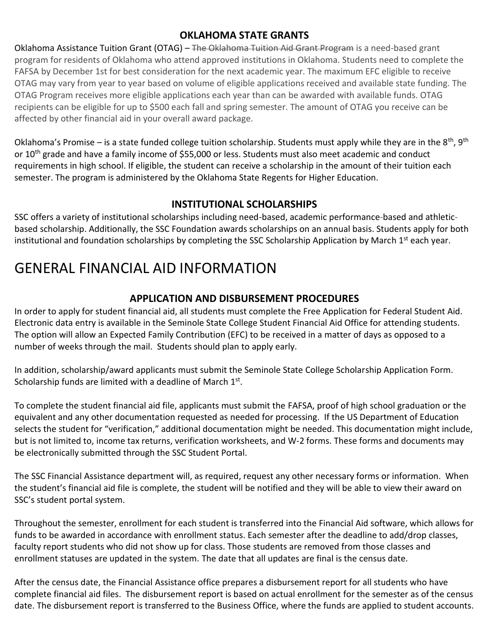# **OKLAHOMA STATE GRANTS**

Oklahoma Assistance Tuition Grant (OTAG) – The Oklahoma Tuition Aid Grant Program is a need-based grant program for residents of Oklahoma who attend approved institutions in Oklahoma. Students need to complete the FAFSA by December 1st for best consideration for the next academic year. The maximum EFC eligible to receive OTAG may vary from year to year based on volume of eligible applications received and available state funding. The OTAG Program receives more eligible applications each year than can be awarded with available funds. OTAG recipients can be eligible for up to \$500 each fall and spring semester. The amount of OTAG you receive can be affected by other financial aid in your overall award package.

Oklahoma's Promise – is a state funded college tuition scholarship. Students must apply while they are in the  $8^{th}$ ,  $9^{th}$ or 10<sup>th</sup> grade and have a family income of \$55,000 or less. Students must also meet academic and conduct requirements in high school. If eligible, the student can receive a scholarship in the amount of their tuition each semester. The program is administered by the Oklahoma State Regents for Higher Education.

# **INSTITUTIONAL SCHOLARSHIPS**

SSC offers a variety of institutional scholarships including need-based, academic performance-based and athleticbased scholarship. Additionally, the SSC Foundation awards scholarships on an annual basis. Students apply for both institutional and foundation scholarships by completing the SSC Scholarship Application by March 1<sup>st</sup> each year.

# GENERAL FINANCIAL AID INFORMATION

# **APPLICATION AND DISBURSEMENT PROCEDURES**

In order to apply for student financial aid, all students must complete the Free Application for Federal Student Aid. Electronic data entry is available in the Seminole State College Student Financial Aid Office for attending students. The option will allow an Expected Family Contribution (EFC) to be received in a matter of days as opposed to a number of weeks through the mail. Students should plan to apply early.

In addition, scholarship/award applicants must submit the Seminole State College Scholarship Application Form. Scholarship funds are limited with a deadline of March 1st.

To complete the student financial aid file, applicants must submit the FAFSA, proof of high school graduation or the equivalent and any other documentation requested as needed for processing. If the US Department of Education selects the student for "verification," additional documentation might be needed. This documentation might include, but is not limited to, income tax returns, verification worksheets, and W-2 forms. These forms and documents may be electronically submitted through the SSC Student Portal.

The SSC Financial Assistance department will, as required, request any other necessary forms or information. When the student's financial aid file is complete, the student will be notified and they will be able to view their award on SSC's student portal system.

Throughout the semester, enrollment for each student is transferred into the Financial Aid software, which allows for funds to be awarded in accordance with enrollment status. Each semester after the deadline to add/drop classes, faculty report students who did not show up for class. Those students are removed from those classes and enrollment statuses are updated in the system. The date that all updates are final is the census date.

After the census date, the Financial Assistance office prepares a disbursement report for all students who have complete financial aid files. The disbursement report is based on actual enrollment for the semester as of the census date. The disbursement report is transferred to the Business Office, where the funds are applied to student accounts.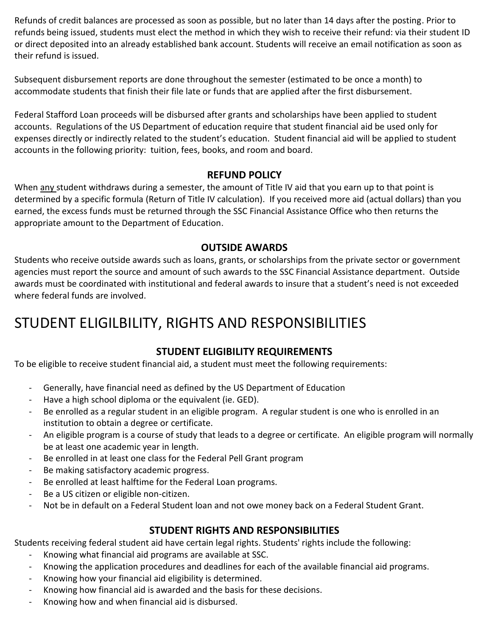Refunds of credit balances are processed as soon as possible, but no later than 14 days after the posting. Prior to refunds being issued, students must elect the method in which they wish to receive their refund: via their student ID or direct deposited into an already established bank account. Students will receive an email notification as soon as their refund is issued.

Subsequent disbursement reports are done throughout the semester (estimated to be once a month) to accommodate students that finish their file late or funds that are applied after the first disbursement.

Federal Stafford Loan proceeds will be disbursed after grants and scholarships have been applied to student accounts. Regulations of the US Department of education require that student financial aid be used only for expenses directly or indirectly related to the student's education. Student financial aid will be applied to student accounts in the following priority: tuition, fees, books, and room and board.

# **REFUND POLICY**

When any student withdraws during a semester, the amount of Title IV aid that you earn up to that point is determined by a specific formula (Return of Title IV calculation). If you received more aid (actual dollars) than you earned, the excess funds must be returned through the SSC Financial Assistance Office who then returns the appropriate amount to the Department of Education.

## **OUTSIDE AWARDS**

Students who receive outside awards such as loans, grants, or scholarships from the private sector or government agencies must report the source and amount of such awards to the SSC Financial Assistance department. Outside awards must be coordinated with institutional and federal awards to insure that a student's need is not exceeded where federal funds are involved.

# STUDENT ELIGILBILITY, RIGHTS AND RESPONSIBILITIES

# **STUDENT ELIGIBILITY REQUIREMENTS**

To be eligible to receive student financial aid, a student must meet the following requirements:

- Generally, have financial need as defined by the US Department of Education
- Have a high school diploma or the equivalent (ie. GED).
- Be enrolled as a regular student in an eligible program. A regular student is one who is enrolled in an institution to obtain a degree or certificate.
- An eligible program is a course of study that leads to a degree or certificate. An eligible program will normally be at least one academic year in length.
- Be enrolled in at least one class for the Federal Pell Grant program
- Be making satisfactory academic progress.
- Be enrolled at least halftime for the Federal Loan programs.
- Be a US citizen or eligible non-citizen.
- Not be in default on a Federal Student loan and not owe money back on a Federal Student Grant.

## **STUDENT RIGHTS AND RESPONSIBILITIES**

Students receiving federal student aid have certain legal rights. Students' rights include the following:

- Knowing what financial aid programs are available at SSC.
- Knowing the application procedures and deadlines for each of the available financial aid programs.
- Knowing how your financial aid eligibility is determined.
- Knowing how financial aid is awarded and the basis for these decisions.
- Knowing how and when financial aid is disbursed.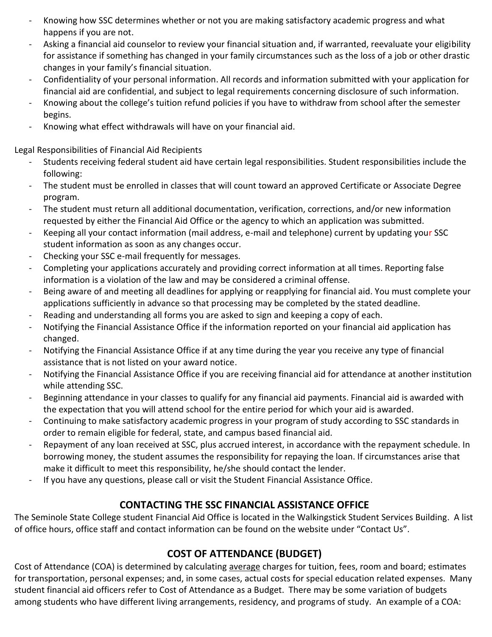- Knowing how SSC determines whether or not you are making satisfactory academic progress and what happens if you are not.
- Asking a financial aid counselor to review your financial situation and, if warranted, reevaluate your eligibility for assistance if something has changed in your family circumstances such as the loss of a job or other drastic changes in your family's financial situation.
- Confidentiality of your personal information. All records and information submitted with your application for financial aid are confidential, and subject to legal requirements concerning disclosure of such information.
- Knowing about the college's tuition refund policies if you have to withdraw from school after the semester begins.
- Knowing what effect withdrawals will have on your financial aid.

Legal Responsibilities of Financial Aid Recipients

- Students receiving federal student aid have certain legal responsibilities. Student responsibilities include the following:
- The student must be enrolled in classes that will count toward an approved Certificate or Associate Degree program.
- The student must return all additional documentation, verification, corrections, and/or new information requested by either the Financial Aid Office or the agency to which an application was submitted.
- Keeping all your contact information (mail address, e-mail and telephone) current by updating your SSC student information as soon as any changes occur.
- Checking your SSC e-mail frequently for messages.
- Completing your applications accurately and providing correct information at all times. Reporting false information is a violation of the law and may be considered a criminal offense.
- Being aware of and meeting all deadlines for applying or reapplying for financial aid. You must complete your applications sufficiently in advance so that processing may be completed by the stated deadline.
- Reading and understanding all forms you are asked to sign and keeping a copy of each.
- Notifying the Financial Assistance Office if the information reported on your financial aid application has changed.
- Notifying the Financial Assistance Office if at any time during the year you receive any type of financial assistance that is not listed on your award notice.
- Notifying the Financial Assistance Office if you are receiving financial aid for attendance at another institution while attending SSC.
- Beginning attendance in your classes to qualify for any financial aid payments. Financial aid is awarded with the expectation that you will attend school for the entire period for which your aid is awarded.
- Continuing to make satisfactory academic progress in your program of study according to SSC standards in order to remain eligible for federal, state, and campus based financial aid.
- Repayment of any loan received at SSC, plus accrued interest, in accordance with the repayment schedule. In borrowing money, the student assumes the responsibility for repaying the loan. If circumstances arise that make it difficult to meet this responsibility, he/she should contact the lender.
- If you have any questions, please call or visit the Student Financial Assistance Office.

# **CONTACTING THE SSC FINANCIAL ASSISTANCE OFFICE**

The Seminole State College student Financial Aid Office is located in the Walkingstick Student Services Building. A list of office hours, office staff and contact information can be found on the website under "Contact Us".

# **COST OF ATTENDANCE (BUDGET)**

Cost of Attendance (COA) is determined by calculating average charges for tuition, fees, room and board; estimates for transportation, personal expenses; and, in some cases, actual costs for special education related expenses. Many student financial aid officers refer to Cost of Attendance as a Budget. There may be some variation of budgets among students who have different living arrangements, residency, and programs of study. An example of a COA: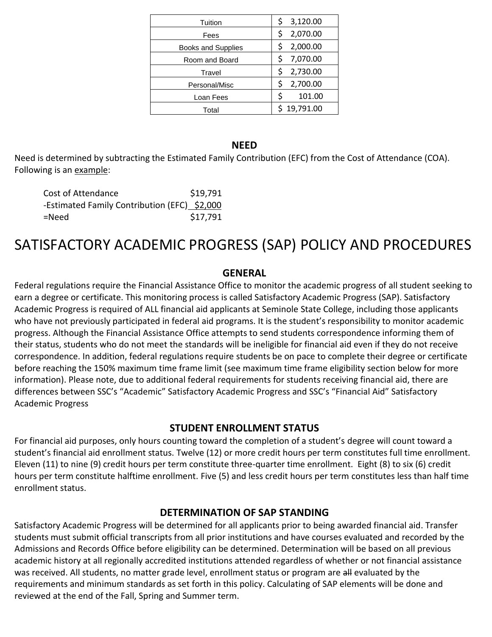| Tuition                   | 3,120.00<br>\$ |
|---------------------------|----------------|
| Fees                      | 2,070.00<br>\$ |
| <b>Books and Supplies</b> | 2,000.00       |
| Room and Board            | 7,070.00<br>\$ |
| Travel                    | \$<br>2,730.00 |
| Personal/Misc             | 2,700.00<br>\$ |
| Loan Fees                 | \$<br>101.00   |
| Total                     | 19,791.00      |

#### **NEED**

Need is determined by subtracting the Estimated Family Contribution (EFC) from the Cost of Attendance (COA). Following is an example:

| Cost of Attendance                           | \$19,791 |
|----------------------------------------------|----------|
| -Estimated Family Contribution (EFC) \$2,000 |          |
| =Need                                        | \$17,791 |

# SATISFACTORY ACADEMIC PROGRESS (SAP) POLICY AND PROCEDURES

#### **GENERAL**

Federal regulations require the Financial Assistance Office to monitor the academic progress of all student seeking to earn a degree or certificate. This monitoring process is called Satisfactory Academic Progress (SAP). Satisfactory Academic Progress is required of ALL financial aid applicants at Seminole State College, including those applicants who have not previously participated in federal aid programs. It is the student's responsibility to monitor academic progress. Although the Financial Assistance Office attempts to send students correspondence informing them of their status, students who do not meet the standards will be ineligible for financial aid even if they do not receive correspondence. In addition, federal regulations require students be on pace to complete their degree or certificate before reaching the 150% maximum time frame limit (see maximum time frame eligibility section below for more information). Please note, due to additional federal requirements for students receiving financial aid, there are differences between SSC's "Academic" Satisfactory Academic Progress and SSC's "Financial Aid" Satisfactory Academic Progress

#### **STUDENT ENROLLMENT STATUS**

For financial aid purposes, only hours counting toward the completion of a student's degree will count toward a student's financial aid enrollment status. Twelve (12) or more credit hours per term constitutes full time enrollment. Eleven (11) to nine (9) credit hours per term constitute three-quarter time enrollment. Eight (8) to six (6) credit hours per term constitute halftime enrollment. Five (5) and less credit hours per term constitutes less than half time enrollment status.

#### **DETERMINATION OF SAP STANDING**

Satisfactory Academic Progress will be determined for all applicants prior to being awarded financial aid. Transfer students must submit official transcripts from all prior institutions and have courses evaluated and recorded by the Admissions and Records Office before eligibility can be determined. Determination will be based on all previous academic history at all regionally accredited institutions attended regardless of whether or not financial assistance was received. All students, no matter grade level, enrollment status or program are all evaluated by the requirements and minimum standards as set forth in this policy. Calculating of SAP elements will be done and reviewed at the end of the Fall, Spring and Summer term.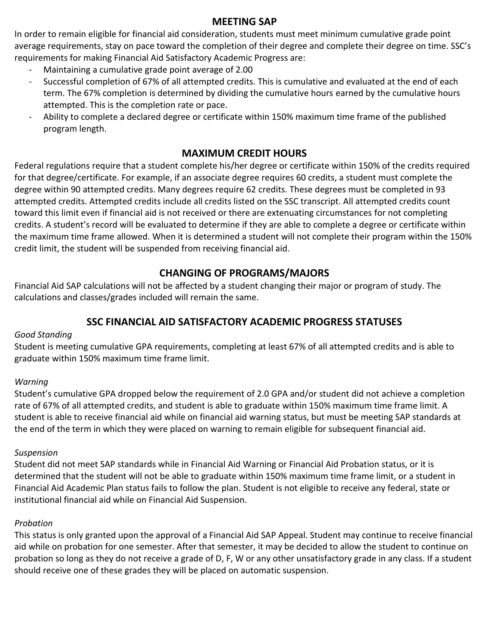### **MEETING SAP**

In order to remain eligible for financial aid consideration, students must meet minimum cumulative grade point average requirements, stay on pace toward the completion of their degree and complete their degree on time. SSC's requirements for making Financial Aid Satisfactory Academic Progress are:

- Maintaining a cumulative grade point average of 2.00
- Successful completion of 67% of all attempted credits. This is cumulative and evaluated at the end of each term. The 67% completion is determined by dividing the cumulative hours earned by the cumulative hours attempted. This is the completion rate or pace.
- Ability to complete a declared degree or certificate within 150% maximum time frame of the published program length.

# **MAXIMUM CREDIT HOURS**

Federal regulations require that a student complete his/her degree or certificate within 150% of the credits required for that degree/certificate. For example, if an associate degree requires 60 credits, a student must complete the degree within 90 attempted credits. Many degrees require 62 credits. These degrees must be completed in 93 attempted credits. Attempted credits include all credits listed on the SSC transcript. All attempted credits count toward this limit even if financial aid is not received or there are extenuating circumstances for not completing credits. A student's record will be evaluated to determine if they are able to complete a degree or certificate within the maximum time frame allowed. When it is determined a student will not complete their program within the 150% credit limit, the student will be suspended from receiving financial aid.

# **CHANGING OF PROGRAMS/MAJORS**

Financial Aid SAP calculations will not be affected by a student changing their major or program of study. The calculations and classes/grades included will remain the same.

# **SSC FINANCIAL AID SATISFACTORY ACADEMIC PROGRESS STATUSES**

#### *Good Standing*

Student is meeting cumulative GPA requirements, completing at least 67% of all attempted credits and is able to graduate within 150% maximum time frame limit.

#### *Warning*

Student's cumulative GPA dropped below the requirement of 2.0 GPA and/or student did not achieve a completion rate of 67% of all attempted credits, and student is able to graduate within 150% maximum time frame limit. A student is able to receive financial aid while on financial aid warning status, but must be meeting SAP standards at the end of the term in which they were placed on warning to remain eligible for subsequent financial aid.

#### *Suspension*

Student did not meet SAP standards while in Financial Aid Warning or Financial Aid Probation status, or it is determined that the student will not be able to graduate within 150% maximum time frame limit, or a student in Financial Aid Academic Plan status fails to follow the plan. Student is not eligible to receive any federal, state or institutional financial aid while on Financial Aid Suspension.

#### *Probation*

This status is only granted upon the approval of a Financial Aid SAP Appeal. Student may continue to receive financial aid while on probation for one semester. After that semester, it may be decided to allow the student to continue on probation so long as they do not receive a grade of D, F, W or any other unsatisfactory grade in any class. If a student should receive one of these grades they will be placed on automatic suspension.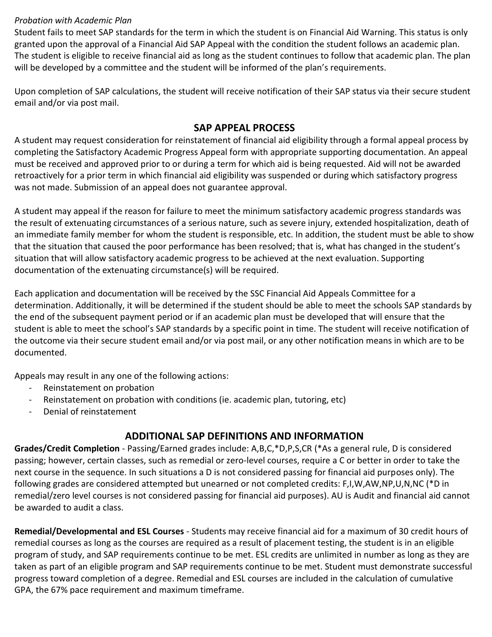#### *Probation with Academic Plan*

Student fails to meet SAP standards for the term in which the student is on Financial Aid Warning. This status is only granted upon the approval of a Financial Aid SAP Appeal with the condition the student follows an academic plan. The student is eligible to receive financial aid as long as the student continues to follow that academic plan. The plan will be developed by a committee and the student will be informed of the plan's requirements.

Upon completion of SAP calculations, the student will receive notification of their SAP status via their secure student email and/or via post mail.

#### **SAP APPEAL PROCESS**

A student may request consideration for reinstatement of financial aid eligibility through a formal appeal process by completing the Satisfactory Academic Progress Appeal form with appropriate supporting documentation. An appeal must be received and approved prior to or during a term for which aid is being requested. Aid will not be awarded retroactively for a prior term in which financial aid eligibility was suspended or during which satisfactory progress was not made. Submission of an appeal does not guarantee approval.

A student may appeal if the reason for failure to meet the minimum satisfactory academic progress standards was the result of extenuating circumstances of a serious nature, such as severe injury, extended hospitalization, death of an immediate family member for whom the student is responsible, etc. In addition, the student must be able to show that the situation that caused the poor performance has been resolved; that is, what has changed in the student's situation that will allow satisfactory academic progress to be achieved at the next evaluation. Supporting documentation of the extenuating circumstance(s) will be required.

Each application and documentation will be received by the SSC Financial Aid Appeals Committee for a determination. Additionally, it will be determined if the student should be able to meet the schools SAP standards by the end of the subsequent payment period or if an academic plan must be developed that will ensure that the student is able to meet the school's SAP standards by a specific point in time. The student will receive notification of the outcome via their secure student email and/or via post mail, or any other notification means in which are to be documented.

Appeals may result in any one of the following actions:

- Reinstatement on probation
- Reinstatement on probation with conditions (ie. academic plan, tutoring, etc)
- Denial of reinstatement

## **ADDITIONAL SAP DEFINITIONS AND INFORMATION**

**Grades/Credit Completion** - Passing/Earned grades include: A,B,C,\*D,P,S,CR (\*As a general rule, D is considered passing; however, certain classes, such as remedial or zero-level courses, require a C or better in order to take the next course in the sequence. In such situations a D is not considered passing for financial aid purposes only). The following grades are considered attempted but unearned or not completed credits: F,I,W,AW,NP,U,N,NC (\*D in remedial/zero level courses is not considered passing for financial aid purposes). AU is Audit and financial aid cannot be awarded to audit a class.

**Remedial/Developmental and ESL Courses** - Students may receive financial aid for a maximum of 30 credit hours of remedial courses as long as the courses are required as a result of placement testing, the student is in an eligible program of study, and SAP requirements continue to be met. ESL credits are unlimited in number as long as they are taken as part of an eligible program and SAP requirements continue to be met. Student must demonstrate successful progress toward completion of a degree. Remedial and ESL courses are included in the calculation of cumulative GPA, the 67% pace requirement and maximum timeframe.